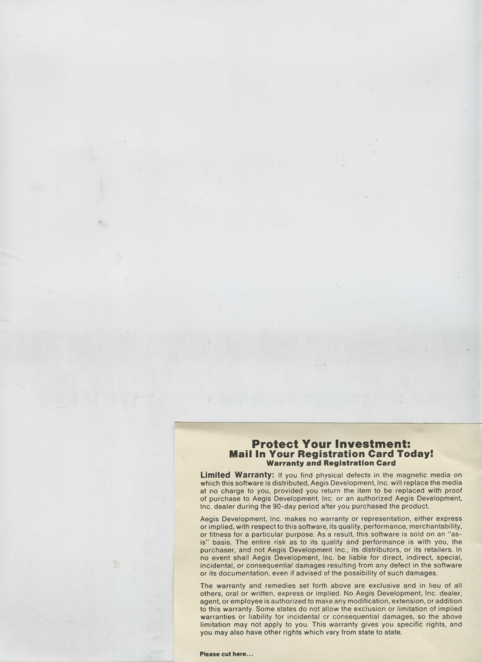## **Protect Your Investment: Mail In Your Registration Card Today! Warranty and Registration Card**

**Limited Warranty:** If you find physical defects in the magnetic media on which this software is distributed, Aegis Development, Inc. will replace the media at no charge to you, provided you return the item to be replaced with proof of purchase to Aegis Development, Inc. or an authorized Aegis Development, Inc. dealer during the 90-day period after you purchased the product.

Aegis Development, Inc. makes no warranty or representation, either express or implied, with respect to this software, its quality, performance, merchantability, or fitness for a particular purpose. As a result, this software is sold on an "asis" basis. The entire risk as to its quality and performance is with you, the purchaser, and not Aegis Development Inc., its distributors, or its retailers. In no event shall Aegis Development, Inc. be liable for direct, indirect, special, incidental, or consequential damages resulting from any defect in the software or its documentation, even if advised of the possibility of such damages.

The warranty and remedies set forth above are exclusive and in lieu of all others, oral or written, express or implied. No Aegis Development, Inc. dealer, agent, or employee is authorized to make any modification, extension, or addition to this warranty. Some states do not allow the exclusion or limitation of implied warranties or liability for incidental or consequential damages, so the above limitation may not apply to you. This warranty gives you specific rights, and you may also have other rights which vary from state to state.

Please cut here...